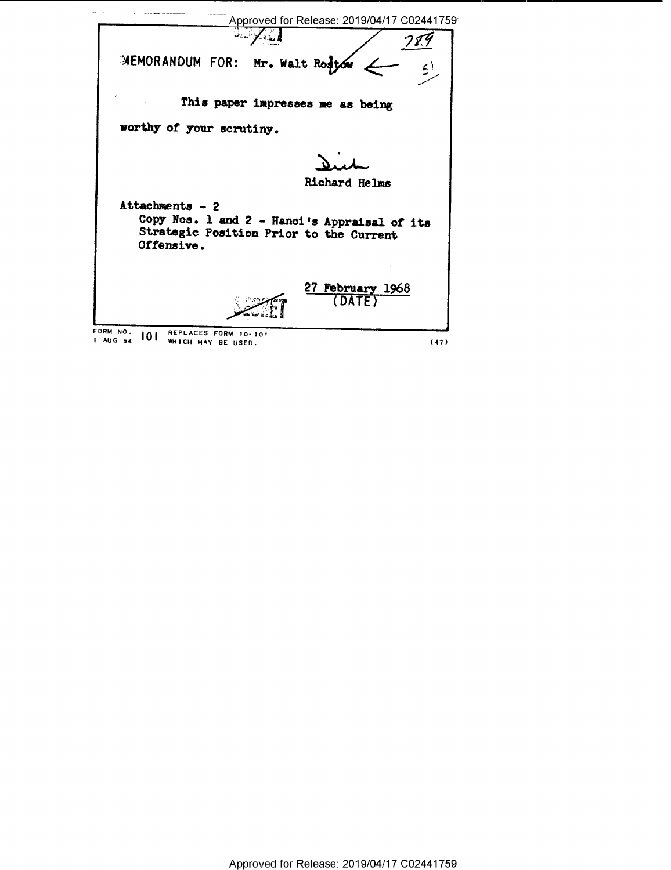|                                                                                  | Approved for Release: 2019/04/17 C02441759                                              |
|----------------------------------------------------------------------------------|-----------------------------------------------------------------------------------------|
|                                                                                  |                                                                                         |
| MEMORANDUM FOR: Mr. Walt Rostow                                                  |                                                                                         |
|                                                                                  | This paper impresses me as being                                                        |
| worthy of your scrutiny.                                                         |                                                                                         |
|                                                                                  |                                                                                         |
|                                                                                  | Richard Helms                                                                           |
| Attachments - 2<br>Offensive.                                                    | Copy Nos. 1 and 2 - Hanoi's Appraisal of its<br>Strategic Position Prior to the Current |
|                                                                                  | 27 February 1968<br><b>DATE</b>                                                         |
| FORM NO.<br>REPLACES FORM 10-101<br>101<br><b>1 AUG 54</b><br>WHICH MAY BE USED. | (47)                                                                                    |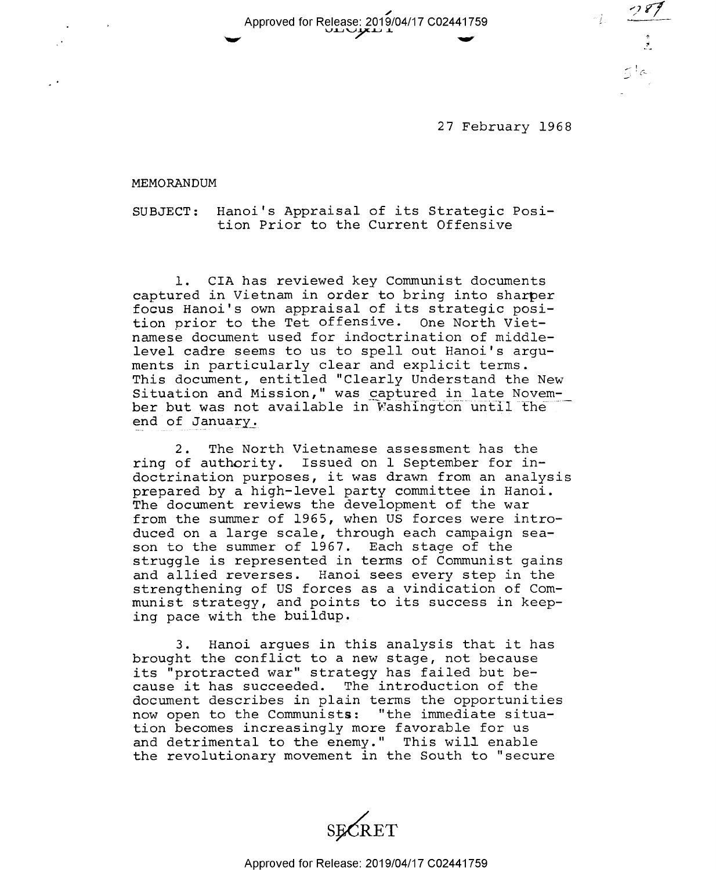Approved for Release: 2016/04/17 C02441759 yn∪yxn r

27 February 1968

\*2 P7

\*3 1

 $5/6$ 

 $-1.$ 

MEMORANDUM

SUBJECT: Hanoi's Appraisal of its Strategic Position Prior to the Current Offensive

l. CIA has reviewed key Communist documents captured in Vietnam in order to bring into sharper focus Hanoi's own appraisal of its strategic position prior to the Tet offensive. One North Vietnamese document used for indoctrination of middlelevel cadre seems to us to spell out Hanoi's arguments in particularly clear and explicit terms. This document, entitled "Clearly Understand the New Situation and Mission," was captured in late November but was not available in Washington until the end of January;

2. The North Vietnamese assessment has the ring of authority. Issued on 1 September for indoctrination purposes, it was drawn from an analysis prepared by a high—level party committee in Hanoi. The document reviews the development of the war from the summer of l965, when US forces were introduced on a large scale, through each campaign season to the summer of 1967. Each stage of the struggle is represented in terms of Communist gains and allied reverses. Hanoi sees every step in the strengthening of US forces as a vindication of Communist strategy, and points to its success in keeping pace with the buildup.

3. Hanoi argues in this analysis that it has brought the conflict to a new stage, not because its "protracted war" strategy has failed but because it has succeeded. The introduction of the document describes in plain terms the opportunities now open to the Communists: "the immediate situation becomes increasingly more favorable for us and detrimental to the enemy." This will enable the revolutionary movement in the South to "secure

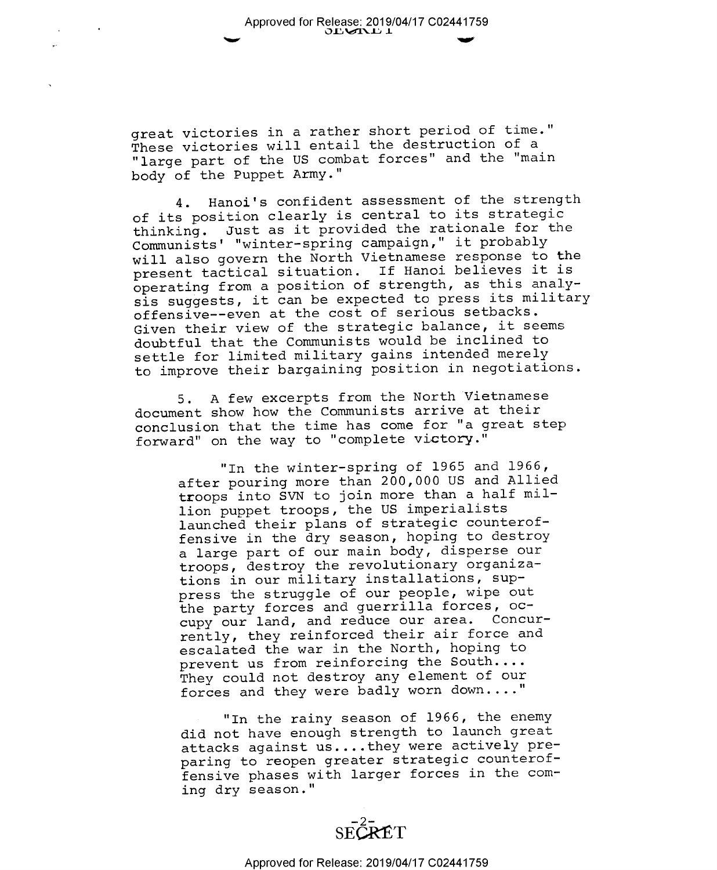great victories in a rather short period of time." These victories will entail the destruction of <sup>a</sup> "large part of the US combat forces" and the "main body of the Puppet Army."

4. Hanoi's confident assessment of the strength of its position clearly is central to its strategic thinking. Just as it provided the rationale for the Communists' "winter-spring campaign," it probably will also govern the North Vietnamese response to the present tactical situation. If Hanoi believes it is operating from a position of strength, as this analysis suggests, it can be expected to press its military offensive--even at the cost of serious setbacks. Given their view of the strategic balance, it seems doubtful that the Communists would be inclined to settle for limited military gains intended merely to improve their bargaining position in negotiations.

5. A few excerpts from the North Vietnamese document show how the Communists arrive at their conclusion that the time has come for "a great step forward" on the way to "complete victory."

> "In the winter-spring of 1965 and 1966, after pouring more than 200,000 US and Allied troops into SVN to join more than a half million puppet troops, the US imperialists launched their plans of strategic counteroffensive in the dry season, hoping to destroy <sup>a</sup>large part of our main body, disperse our troops, destroy the revolutionary organizations in our military installations, suppress the struggle of our people, wipe out the party forces and guerrilla forces, occupy our land, and reduce our area. Concurrently, they reinforced their air force and escalated the war in the North, hoping to prevent us from reinforcing the South.... They could not destroy any element of our forces and they were badly worn down...."

> "In the rainy season of 1966, the enemy did not have enough strength to launch great attacks against us....they were actively preparing to reopen greater strategic counteroffensive phases with larger forces in the coming dry season."

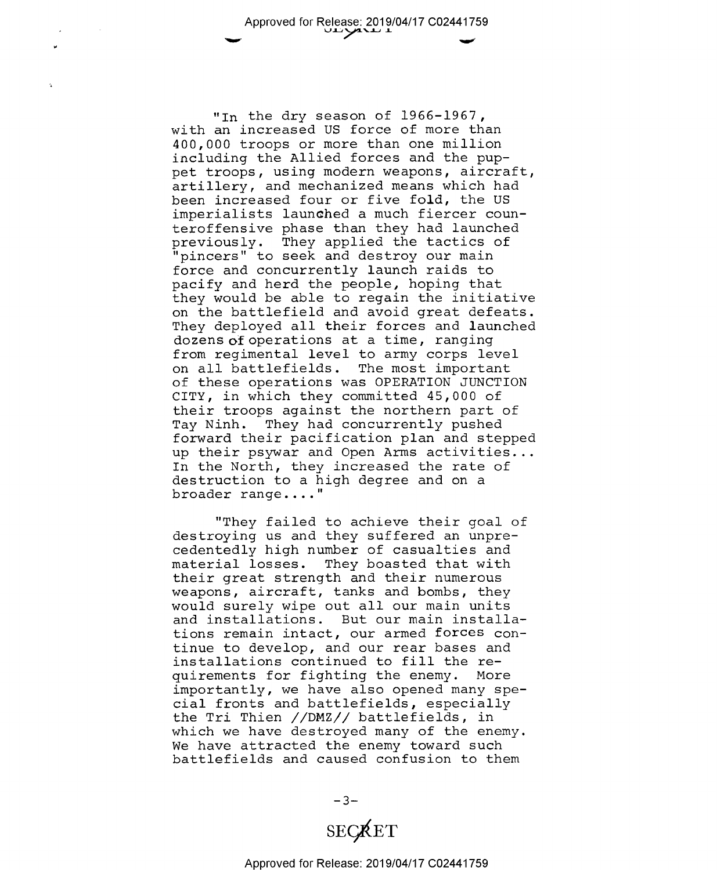"In the dry season of 1966-1967, with an increased US force of more than 400,000 troops or more than one million including the Allied forces and the puppet troops, using modern weapons, aircraft, artillery, and mechanized means which had been increased four or five fold, the US imperialists launched a much fiercer counteroffensive phase than they had launched<br>previously. They applied the tactics of "pincers" to seek and destroy our main force and concurrently launch raids to pacify and herd the people, hoping that they would be able to regain the initiative on the battlefield and avoid great defeats.<br>They deployed all their forces and launched dozens of operations at a time, ranging from regimental level to army corps level on all battlefields. The most important of these operations was OPERATION JUNCTION CITY, in which they committed 45,000 of their troops against the northern part of Tay Ninh. They had concurrently pushed forward their pacification plan and stepped up their psywar and Open Arms activities...<br>In the North, they increased the rate of destruction to a high degree and on a broader range...."

"They failed to achieve their goal of destroying us and they suffered an unprecedentedly high number of casualties and material losses. They boasted that with their great strength and their numerous weapons, aircraft, tanks and bombs, they would surely wipe out all our main units and installations. But our main installations remain intact, our armed forces continue to develop, and our rear bases and installations continued to fill the requirements for fighting the enemy. More importantly, we have also opened many special fronts and battlefields, especially the Tri Thien //DMZ// battlefields, in which we have destroyed many of the enemy.<br>We have attracted the enemy toward such battlefields and caused confusion to them

> $-3-$ **SECRET**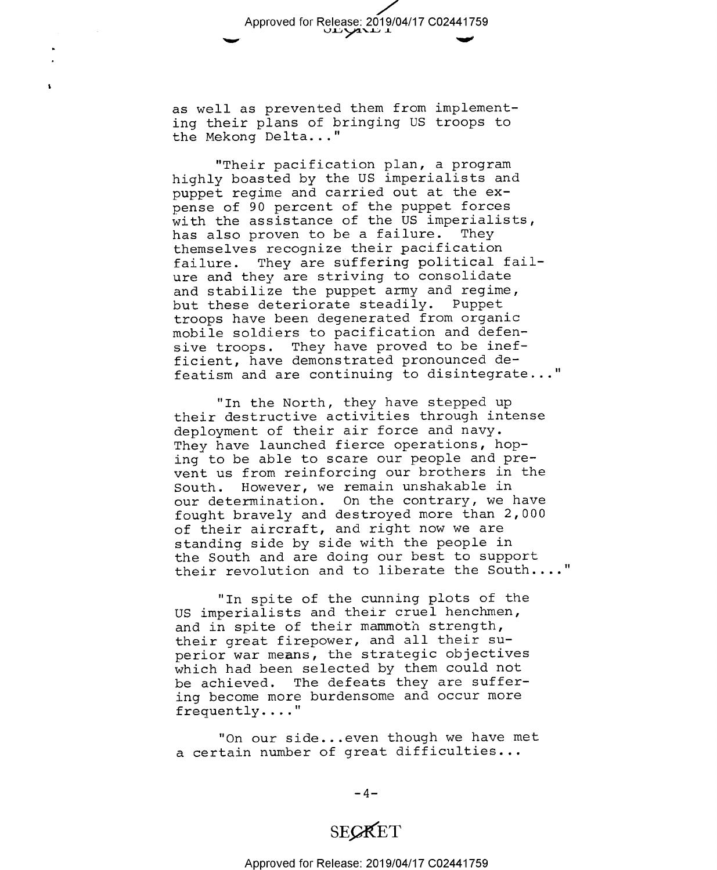Approved for Release: 2019/04/17 C02441759  $\overline{1}$   $\overline{1}$ 

as well as prevented them from implementing their plans of bringing US troops to the Mekong Delta..."

 $\mathbf{r}$ 

"Their pacification plan, a program highly boasted by the US imperialists and puppet regime and carried out at the expense of 90 percent of the puppet forces with the assistance of the US imperialists,<br>has also proven to be a failure. They has also proven to be a failure. themselves recognize their pacification failure. They are suffering political failure and they are striving to consolidate and stabilize the puppet army and regime, but these deteriorate steadily. Puppet troops have been degenerated from organic mobile soldiers to pacification and defensive troops. They have proved to be inefficient, have demonstrated pronounced defeatism and are continuing to disintegrate..

"In the North, they have stepped up their destructive activities through intense deployment of their air force and navy. They have launched fierce operations, hoping to be able to scare our people and prevent us from reinforcing our brothers in the<br>South. However, we remain unshakable in However, we remain unshakable in our determination. On the contrary, we have fought bravely and destroyed more than 2,000 of their aircraft, and right now we are standing side by side with the people in the South and are doing our best to support their revolution and to liberate the South...."

"In spite of the cunning plots of the US imperialists and their cruel henchmen, and in spite of their mammoth strength, their great firepower, and all their superior war means, the strategic objectives which had been selected by them could not be achieved. The defeats they are suffering become more burdensome and occur more frequently...."

"On our side...even though we have met a certain number of great difficulties...

 $-4-$ 

## SEQKET

Approved for Release: 2019/04/17 C02441759